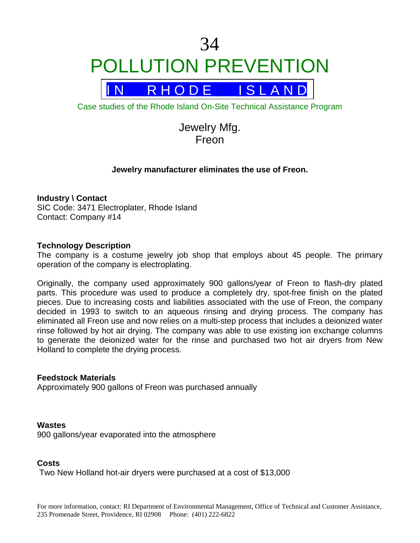# 34 POLLUTION PREVENTION



Case studies of the Rhode Island On-Site Technical Assistance Program

Jewelry Mfg. Freon

# **Jewelry manufacturer eliminates the use of Freon.**

## **Industry \ Contact**

SIC Code: 3471 Electroplater, Rhode Island Contact: Company #14

## **Technology Description**

The company is a costume jewelry job shop that employs about 45 people. The primary operation of the company is electroplating.

Originally, the company used approximately 900 gallons/year of Freon to flash-dry plated parts. This procedure was used to produce a completely dry, spot-free finish on the plated pieces. Due to increasing costs and liabilities associated with the use of Freon, the company decided in 1993 to switch to an aqueous rinsing and drying process. The company has eliminated all Freon use and now relies on a multi-step process that includes a deionized water rinse followed by hot air drying. The company was able to use existing ion exchange columns to generate the deionized water for the rinse and purchased two hot air dryers from New Holland to complete the drying process.

#### **Feedstock Materials**

Approximately 900 gallons of Freon was purchased annually

# **Wastes**

900 gallons/year evaporated into the atmosphere

# **Costs**

Two New Holland hot-air dryers were purchased at a cost of \$13,000